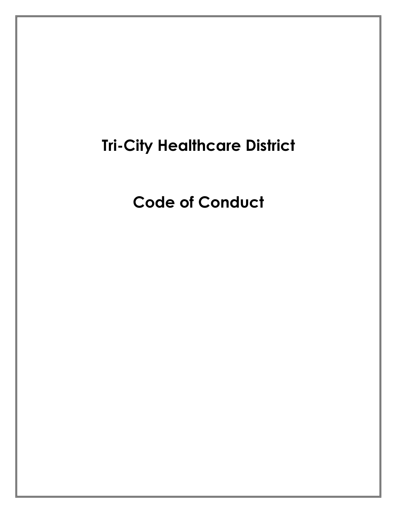# Tri-City Healthcare District

Code of Conduct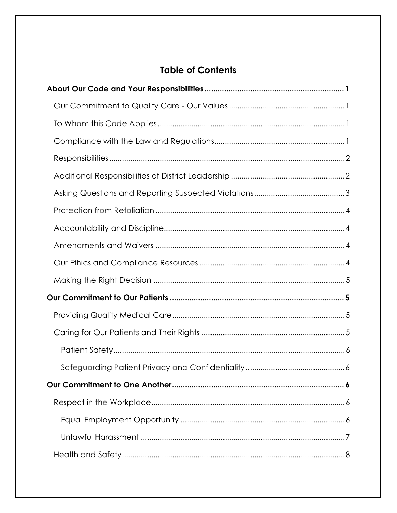# **Table of Contents**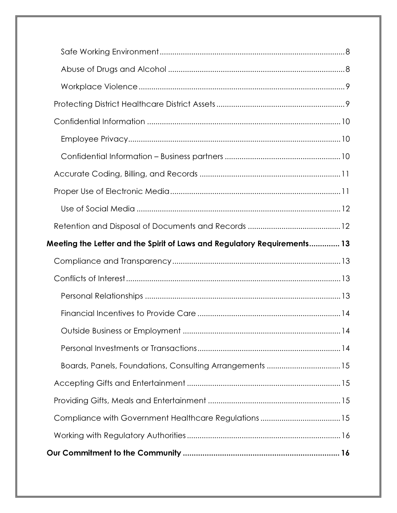| Meeting the Letter and the Spirit of Laws and Regulatory Requirements 13 |
|--------------------------------------------------------------------------|
|                                                                          |
|                                                                          |
|                                                                          |
|                                                                          |
|                                                                          |
|                                                                          |
|                                                                          |
| Boards, Panels, Foundations, Consulting Arrangements 15                  |
|                                                                          |
|                                                                          |
|                                                                          |
|                                                                          |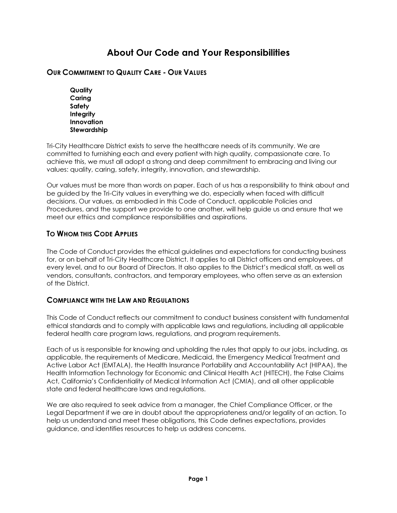# About Our Code and Your Responsibilities

## OUR COMMITMENT TO QUALITY CARE - OUR VALUES

**Quality** Caring Safety **Integrity Innovation** Stewardship

Tri-City Healthcare District exists to serve the healthcare needs of its community. We are committed to furnishing each and every patient with high quality, compassionate care. To achieve this, we must all adopt a strong and deep commitment to embracing and living our values: quality, caring, safety, integrity, innovation, and stewardship.

Our values must be more than words on paper. Each of us has a responsibility to think about and be guided by the Tri-City values in everything we do, especially when faced with difficult decisions. Our values, as embodied in this Code of Conduct, applicable Policies and Procedures, and the support we provide to one another, will help guide us and ensure that we meet our ethics and compliance responsibilities and aspirations.

## TO WHOM THIS CODE APPLIES

The Code of Conduct provides the ethical guidelines and expectations for conducting business for, or on behalf of Tri-City Healthcare District. It applies to all District officers and employees, at every level, and to our Board of Directors. It also applies to the District's medical staff, as well as vendors, consultants, contractors, and temporary employees, who often serve as an extension of the District.

#### COMPLIANCE WITH THE LAW AND REGULATIONS

This Code of Conduct reflects our commitment to conduct business consistent with fundamental ethical standards and to comply with applicable laws and regulations, including all applicable federal health care program laws, regulations, and program requirements.

Each of us is responsible for knowing and upholding the rules that apply to our jobs, including, as applicable, the requirements of Medicare, Medicaid, the Emergency Medical Treatment and Active Labor Act (EMTALA), the Health Insurance Portability and Accountability Act (HIPAA), the Health Information Technology for Economic and Clinical Health Act (HITECH), the False Claims Act, California's Confidentiality of Medical Information Act (CMIA), and all other applicable state and federal healthcare laws and regulations.

We are also required to seek advice from a manager, the Chief Compliance Officer, or the Legal Department if we are in doubt about the appropriateness and/or legality of an action. To help us understand and meet these obligations, this Code defines expectations, provides guidance, and identifies resources to help us address concerns.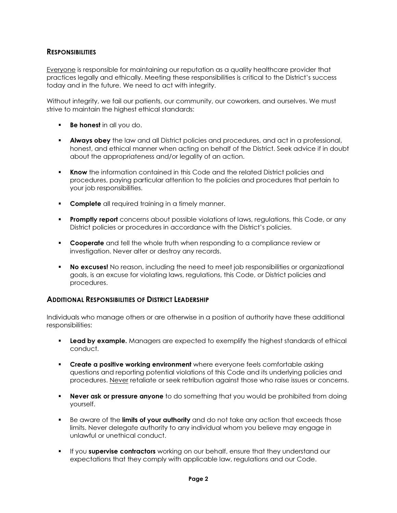## **RESPONSIBILITIES**

Everyone is responsible for maintaining our reputation as a quality healthcare provider that practices legally and ethically. Meeting these responsibilities is critical to the District's success today and in the future. We need to act with integrity.

Without integrity, we fail our patients, our community, our coworkers, and ourselves. We must strive to maintain the highest ethical standards:

- Be honest in all you do.
- **Always obey** the law and all District policies and procedures, and act in a professional, honest, and ethical manner when acting on behalf of the District. Seek advice if in doubt about the appropriateness and/or legality of an action.
- **Know** the information contained in this Code and the related District policies and procedures, paying particular attention to the policies and procedures that pertain to your job responsibilities.
- **Complete** all required training in a timely manner.
- **Promptly report** concerns about possible violations of laws, regulations, this Code, or any District policies or procedures in accordance with the District's policies.
- **Cooperate** and tell the whole truth when responding to a compliance review or investigation. Never alter or destroy any records.
- **No excuses!** No reason, including the need to meet job responsibilities or organizational goals, is an excuse for violating laws, regulations, this Code, or District policies and procedures.

#### ADDITIONAL RESPONSIBILITIES OF DISTRICT LEADERSHIP

Individuals who manage others or are otherwise in a position of authority have these additional responsibilities:

- Lead by example. Managers are expected to exemplify the highest standards of ethical conduct.
- **Create a positive working environment** where everyone feels comfortable asking questions and reporting potential violations of this Code and its underlying policies and procedures. Never retaliate or seek retribution against those who raise issues or concerns.
- **Never ask or pressure anyone** to do something that you would be prohibited from doing yourself.
- Be aware of the limits of your authority and do not take any action that exceeds those limits. Never delegate authority to any individual whom you believe may engage in unlawful or unethical conduct.
- If you supervise contractors working on our behalf, ensure that they understand our expectations that they comply with applicable law, regulations and our Code.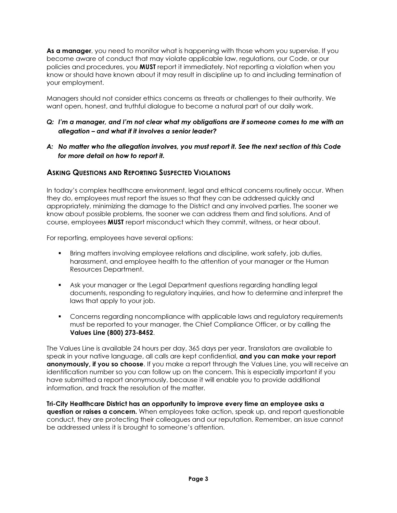As a manager, you need to monitor what is happening with those whom you supervise. If you become aware of conduct that may violate applicable law, regulations, our Code, or our policies and procedures, you MUST report it immediately. Not reporting a violation when you know or should have known about it may result in discipline up to and including termination of your employment.

Managers should not consider ethics concerns as threats or challenges to their authority. We want open, honest, and truthful dialogue to become a natural part of our daily work.

#### Q: I'm a manager, and I'm not clear what my obligations are if someone comes to me with an allegation – and what if it involves a senior leader?

A: No matter who the allegation involves, you must report it. See the next section of this Code for more detail on how to report it.

## ASKING QUESTIONS AND REPORTING SUSPECTED VIOLATIONS

In today's complex healthcare environment, legal and ethical concerns routinely occur. When they do, employees must report the issues so that they can be addressed quickly and appropriately, minimizing the damage to the District and any involved parties. The sooner we know about possible problems, the sooner we can address them and find solutions. And of course, employees MUST report misconduct which they commit, witness, or hear about.

For reporting, employees have several options:

- Bring matters involving employee relations and discipline, work safety, job duties, harassment, and employee health to the attention of your manager or the Human Resources Department.
- Ask your manager or the Legal Department questions regarding handling legal documents, responding to regulatory inquiries, and how to determine and interpret the laws that apply to your job.
- **Concerns regarding noncompliance with applicable laws and regulatory requirements** must be reported to your manager, the Chief Compliance Officer, or by calling the Values Line (800) 273-8452.

The Values Line is available 24 hours per day, 365 days per year. Translators are available to speak in your native language, all calls are kept confidential, and you can make your report anonymously, if you so choose. If you make a report through the Values Line, you will receive an identification number so you can follow up on the concern. This is especially important if you have submitted a report anonymously, because it will enable you to provide additional information, and track the resolution of the matter.

Tri-City Healthcare District has an opportunity to improve every time an employee asks a question or raises a concern. When employees take action, speak up, and report questionable conduct, they are protecting their colleagues and our reputation. Remember, an issue cannot be addressed unless it is brought to someone's attention.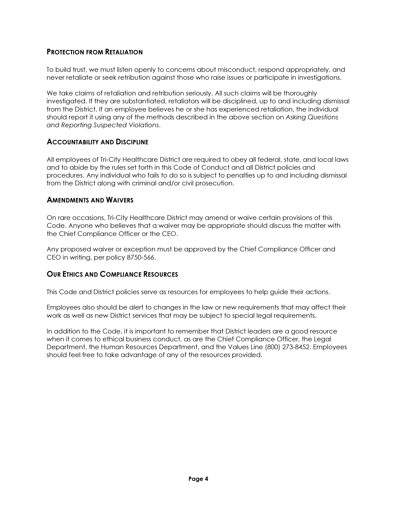## PROTECTION FROM RETALIATION

To build trust, we must listen openly to concerns about misconduct, respond appropriately, and never retaliate or seek retribution against those who raise issues or participate in investigations.

We take claims of retaliation and retribution seriously. All such claims will be thoroughly investigated. If they are substantiated, retaliators will be disciplined, up to and including dismissal from the District. If an employee believes he or she has experienced retaliation, the individual should report it using any of the methods described in the above section on Asking Questions and Reporting Suspected Violations.

#### ACCOUNTABILITY AND DISCIPLINE

All employees of Tri-City Healthcare District are required to obey all federal, state, and local laws and to abide by the rules set forth in this Code of Conduct and all District policies and procedures. Any individual who fails to do so is subject to penalties up to and including dismissal from the District along with criminal and/or civil prosecution.

## AMENDMENTS AND WAIVERS

On rare occasions, Tri-City Healthcare District may amend or waive certain provisions of this Code. Anyone who believes that a waiver may be appropriate should discuss the matter with the Chief Compliance Officer or the CEO.

Any proposed waiver or exception must be approved by the Chief Compliance Officer and CEO in writing, per policy 8750-566.

# OUR ETHICS AND COMPLIANCE RESOURCES

This Code and District policies serve as resources for employees to help guide their actions.

Employees also should be alert to changes in the law or new requirements that may affect their work as well as new District services that may be subject to special legal requirements.

In addition to the Code, it is important to remember that District leaders are a good resource when it comes to ethical business conduct, as are the Chief Compliance Officer, the Legal Department, the Human Resources Department, and the Values Line (800) 273-8452. Employees should feel free to take advantage of any of the resources provided.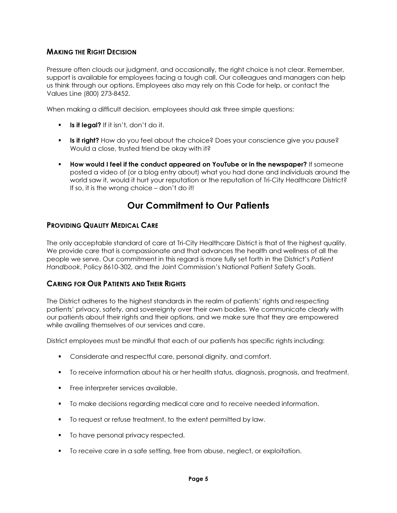# MAKING THE RIGHT DECISION

Pressure often clouds our judgment, and occasionally, the right choice is not clear. Remember, support is available for employees facing a tough call. Our colleagues and managers can help us think through our options. Employees also may rely on this Code for help, or contact the Values Line (800) 273-8452.

When making a difficult decision, employees should ask three simple questions:

- $\blacksquare$  Is it legal? If it isn't, don't do it.
- **Is it right?** How do you feel about the choice? Does your conscience give you pause? Would a close, trusted friend be okay with it?
- **How would I feel if the conduct appeared on YouTube or in the newspaper?** If someone posted a video of (or a blog entry about) what you had done and individuals around the world saw it, would it hurt your reputation or the reputation of Tri-City Healthcare District? If so, it is the wrong choice – don't do it!

# Our Commitment to Our Patients

#### PROVIDING QUALITY MEDICAL CARE

The only acceptable standard of care at Tri-City Healthcare District is that of the highest quality. We provide care that is compassionate and that advances the health and wellness of all the people we serve. Our commitment in this regard is more fully set forth in the District's Patient Handbook, Policy 8610-302, and the Joint Commission's National Patient Safety Goals.

#### CARING FOR OUR PATIENTS AND THEIR RIGHTS

The District adheres to the highest standards in the realm of patients' rights and respecting patients' privacy, safety, and sovereignty over their own bodies. We communicate clearly with our patients about their rights and their options, and we make sure that they are empowered while availing themselves of our services and care.

District employees must be mindful that each of our patients has specific rights including:

- **Considerate and respectiventy care, personal dignity, and comfort.**
- To receive information about his or her health status, diagnosis, prognosis, and treatment.
- **Free interpreter services available.**
- To make decisions regarding medical care and to receive needed information.
- To request or refuse treatment, to the extent permitted by law.
- To have personal privacy respected.
- To receive care in a safe setting, free from abuse, neglect, or exploitation.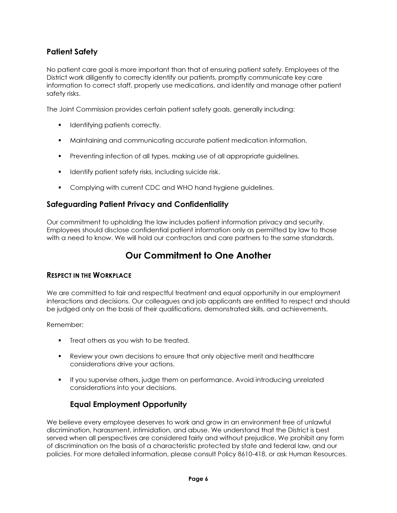# Patient Safety

No patient care goal is more important than that of ensuring patient safety. Employees of the District work diligently to correctly identify our patients, promptly communicate key care information to correct staff, properly use medications, and identify and manage other patient safety risks.

The Joint Commission provides certain patient safety goals, generally including:

- **IDENTIFYING patients correctly.**
- Maintaining and communicating accurate patient medication information.
- **Preventing infection of all types, making use of all appropriate guidelines.**
- **IDENTIFY PROTECT SAFETY READER** including suicide risk.
- **Complying with current CDC and WHO hand hygiene guidelines.**

# Safeguarding Patient Privacy and Confidentiality

Our commitment to upholding the law includes patient information privacy and security. Employees should disclose confidential patient information only as permitted by law to those with a need to know. We will hold our contractors and care partners to the same standards.

# Our Commitment to One Another

# RESPECT IN THE WORKPLACE

We are committed to fair and respectful treatment and equal opportunity in our employment interactions and decisions. Our colleagues and job applicants are entitled to respect and should be judged only on the basis of their qualifications, demonstrated skills, and achievements.

Remember:

- **Treat others as you wish to be treated.**
- Review your own decisions to ensure that only objective merit and healthcare considerations drive your actions.
- **If you supervise others, judge them on performance. Avoid introducing unrelated** considerations into your decisions.

# Equal Employment Opportunity

We believe every employee deserves to work and grow in an environment free of unlawful discrimination, harassment, intimidation, and abuse. We understand that the District is best served when all perspectives are considered fairly and without prejudice. We prohibit any form of discrimination on the basis of a characteristic protected by state and federal law, and our policies. For more detailed information, please consult Policy 8610-418, or ask Human Resources.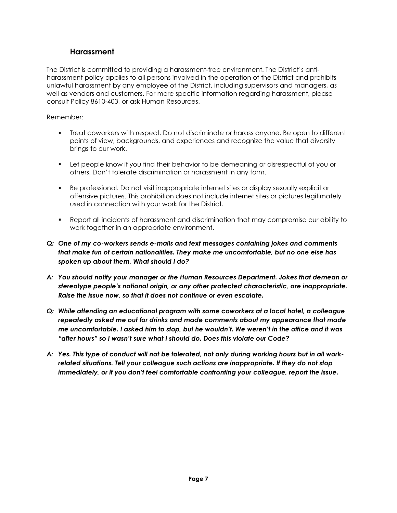# Harassment

The District is committed to providing a harassment-free environment. The District's antiharassment policy applies to all persons involved in the operation of the District and prohibits unlawful harassment by any employee of the District, including supervisors and managers, as well as vendors and customers. For more specific information regarding harassment, please consult Policy 8610-403, or ask Human Resources.

- Treat coworkers with respect. Do not discriminate or harass anyone. Be open to different points of view, backgrounds, and experiences and recognize the value that diversity brings to our work.
- Let people know if you find their behavior to be demeaning or disrespectful of you or others. Don't tolerate discrimination or harassment in any form.
- Be professional. Do not visit inappropriate internet sites or display sexually explicit or offensive pictures. This prohibition does not include internet sites or pictures legitimately used in connection with your work for the District.
- Report all incidents of harassment and discrimination that may compromise our ability to work together in an appropriate environment.
- Q: One of my co-workers sends e-mails and text messages containing jokes and comments that make fun of certain nationalities. They make me uncomfortable, but no one else has spoken up about them. What should I do?
- A: You should notify your manager or the Human Resources Department. Jokes that demean or stereotype people's national origin, or any other protected characteristic, are inappropriate. Raise the issue now, so that it does not continue or even escalate.
- Q: While attending an educational program with some coworkers at a local hotel, a colleague repeatedly asked me out for drinks and made comments about my appearance that made me uncomfortable. I asked him to stop, but he wouldn't. We weren't in the office and it was "after hours" so I wasn't sure what I should do. Does this violate our Code?
- A: Yes. This type of conduct will not be tolerated, not only during working hours but in all workrelated situations. Tell your colleague such actions are inappropriate. If they do not stop immediately, or if you don't feel comfortable confronting your colleague, report the issue.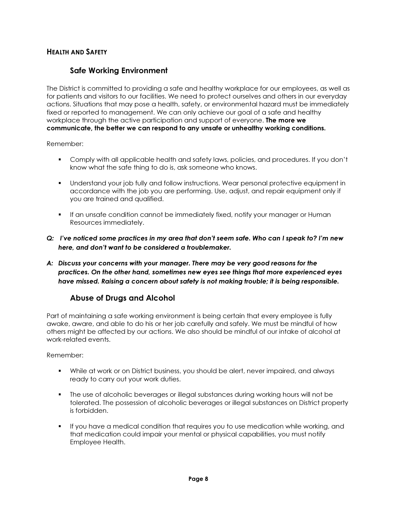# HEALTH AND SAFETY

# Safe Working Environment

The District is committed to providing a safe and healthy workplace for our employees, as well as for patients and visitors to our facilities. We need to protect ourselves and others in our everyday actions. Situations that may pose a health, safety, or environmental hazard must be immediately fixed or reported to management. We can only achieve our goal of a safe and healthy workplace through the active participation and support of everyone. **The more we** communicate, the better we can respond to any unsafe or unhealthy working conditions.

Remember:

- Comply with all applicable health and safety laws, policies, and procedures. If you don't know what the safe thing to do is, ask someone who knows.
- Understand your job fully and follow instructions. Wear personal protective equipment in accordance with the job you are performing. Use, adjust, and repair equipment only if you are trained and qualified.
- If an unsafe condition cannot be immediately fixed, notify your manager or Human Resources immediately.
- Q: I've noticed some practices in my area that don't seem safe. Who can I speak to? I'm new here, and don't want to be considered a troublemaker.
- A: Discuss your concerns with your manager. There may be very good reasons for the practices. On the other hand, sometimes new eyes see things that more experienced eyes have missed. Raising a concern about safety is not making trouble; it is being responsible.

# Abuse of Drugs and Alcohol

Part of maintaining a safe working environment is being certain that every employee is fully awake, aware, and able to do his or her job carefully and safely. We must be mindful of how others might be affected by our actions. We also should be mindful of our intake of alcohol at work-related events.

- While at work or on District business, you should be alert, never impaired, and always ready to carry out your work duties.
- The use of alcoholic beverages or illegal substances during working hours will not be tolerated. The possession of alcoholic beverages or illegal substances on District property is forbidden.
- If you have a medical condition that requires you to use medication while working, and that medication could impair your mental or physical capabilities, you must notify Employee Health.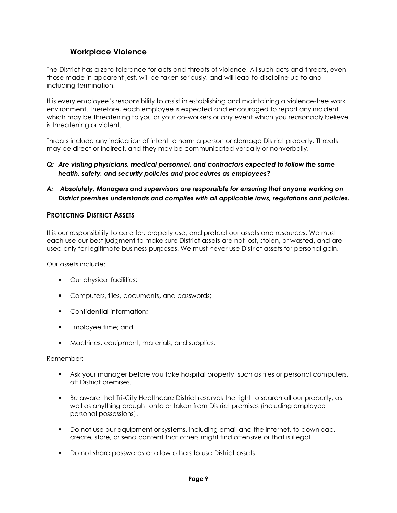# Workplace Violence

The District has a zero tolerance for acts and threats of violence. All such acts and threats, even those made in apparent jest, will be taken seriously, and will lead to discipline up to and including termination.

It is every employee's responsibility to assist in establishing and maintaining a violence-free work environment. Therefore, each employee is expected and encouraged to report any incident which may be threatening to you or your co-workers or any event which you reasonably believe is threatening or violent.

Threats include any indication of intent to harm a person or damage District property. Threats may be direct or indirect, and they may be communicated verbally or nonverbally.

#### Q: Are visiting physicians, medical personnel, and contractors expected to follow the same health, safety, and security policies and procedures as employees?

#### A: Absolutely. Managers and supervisors are responsible for ensuring that anyone working on District premises understands and complies with all applicable laws, regulations and policies.

## PROTECTING DISTRICT ASSETS

It is our responsibility to care for, properly use, and protect our assets and resources. We must each use our best judgment to make sure District assets are not lost, stolen, or wasted, and are used only for legitimate business purposes. We must never use District assets for personal gain.

Our assets include:

- Our physical facilities;
- **Computers, files, documents, and passwords;**
- Confidential information:
- **Employee time; and**
- Machines, equipment, materials, and supplies.

- Ask your manager before you take hospital property, such as files or personal computers, off District premises.
- Be aware that Tri-City Healthcare District reserves the right to search all our property, as well as anything brought onto or taken from District premises (including employee personal possessions).
- **Do not use our equipment or systems, including email and the internet, to download,** create, store, or send content that others might find offensive or that is illegal.
- Do not share passwords or allow others to use District assets.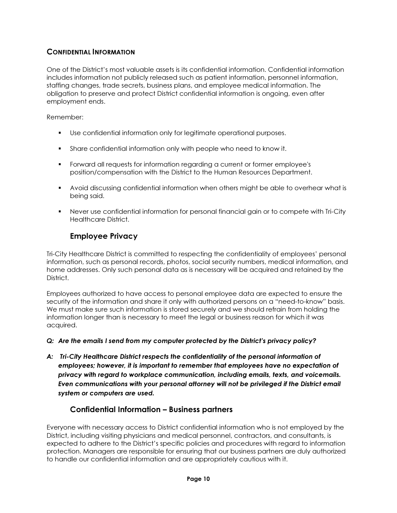# CONFIDENTIAL INFORMATION

One of the District's most valuable assets is its confidential information. Confidential information includes information not publicly released such as patient information, personnel information, staffing changes, trade secrets, business plans, and employee medical information. The obligation to preserve and protect District confidential information is ongoing, even after employment ends.

#### Remember:

- Use confidential information only for legitimate operational purposes.
- Share confidential information only with people who need to know it.
- Forward all requests for information regarding a current or former employee's position/compensation with the District to the Human Resources Department.
- Avoid discussing confidential information when others might be able to overhear what is being said.
- Never use confidential information for personal financial gain or to compete with Tri-City Healthcare District.

# Employee Privacy

Tri-City Healthcare District is committed to respecting the confidentiality of employees' personal information, such as personal records, photos, social security numbers, medical information, and home addresses. Only such personal data as is necessary will be acquired and retained by the District.

Employees authorized to have access to personal employee data are expected to ensure the security of the information and share it only with authorized persons on a "need-to-know" basis. We must make sure such information is stored securely and we should refrain from holding the information longer than is necessary to meet the legal or business reason for which it was acquired.

#### Q: Are the emails I send from my computer protected by the District's privacy policy?

A: Tri-City Healthcare District respects the confidentiality of the personal information of employees; however, it is important to remember that employees have no expectation of privacy with regard to workplace communication, including emails, texts, and voicemails. Even communications with your personal attorney will not be privileged if the District email system or computers are used.

# Confidential Information – Business partners

Everyone with necessary access to District confidential information who is not employed by the District, including visiting physicians and medical personnel, contractors, and consultants, is expected to adhere to the District's specific policies and procedures with regard to information protection. Managers are responsible for ensuring that our business partners are duly authorized to handle our confidential information and are appropriately cautious with it.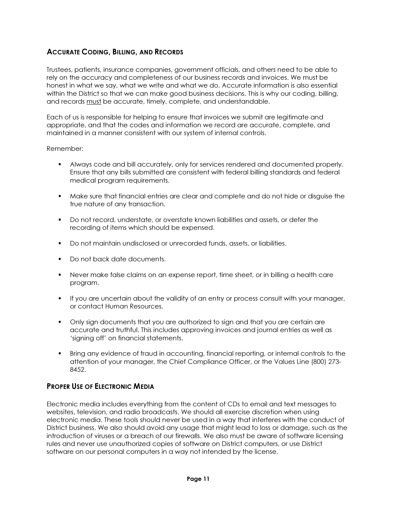# ACCURATE CODING, BILLING, AND RECORDS

Trustees, patients, insurance companies, government officials, and others need to be able to rely on the accuracy and completeness of our business records and invoices. We must be honest in what we say, what we write and what we do. Accurate information is also essential within the District so that we can make good business decisions. This is why our coding, billing, and records must be accurate, timely, complete, and understandable.

Each of us is responsible for helping to ensure that invoices we submit are legitimate and appropriate, and that the codes and information we record are accurate, complete, and maintained in a manner consistent with our system of internal controls.

#### Remember:

- Always code and bill accurately, only for services rendered and documented properly. Ensure that any bills submitted are consistent with federal billing standards and federal medical program requirements.
- Make sure that financial entries are clear and complete and do not hide or disguise the true nature of any transaction.
- Do not record, understate, or overstate known liabilities and assets, or defer the recording of items which should be expensed.
- Do not maintain undisclosed or unrecorded funds, assets, or liabilities.
- Do not back date documents.
- Never make false claims on an expense report, time sheet, or in billing a health care program.
- If you are uncertain about the validity of an entry or process consult with your manager, or contact Human Resources.
- Only sign documents that you are authorized to sign and that you are certain are accurate and truthful. This includes approving invoices and journal entries as well as 'signing off' on financial statements.
- Bring any evidence of fraud in accounting, financial reporting, or internal controls to the attention of your manager, the Chief Compliance Officer, or the Values Line (800) 273- 8452.

# PROPER USE OF ELECTRONIC MEDIA

Electronic media includes everything from the content of CDs to email and text messages to websites, television, and radio broadcasts. We should all exercise discretion when using electronic media. These tools should never be used in a way that interferes with the conduct of District business. We also should avoid any usage that might lead to loss or damage, such as the introduction of viruses or a breach of our firewalls. We also must be aware of software licensing rules and never use unauthorized copies of software on District computers, or use District software on our personal computers in a way not intended by the license.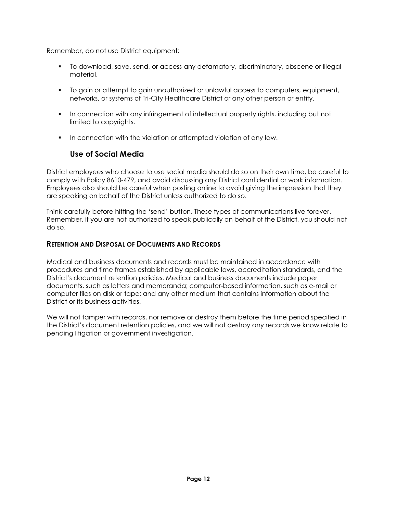Remember, do not use District equipment:

- To download, save, send, or access any defamatory, discriminatory, obscene or illegal material.
- To gain or attempt to gain unauthorized or unlawful access to computers, equipment, networks, or systems of Tri-City Healthcare District or any other person or entity.
- In connection with any infringement of intellectual property rights, including but not limited to copyrights.
- **IF** In connection with the violation or attempted violation of any law.

# Use of Social Media

District employees who choose to use social media should do so on their own time, be careful to comply with Policy 8610-479, and avoid discussing any District confidential or work information. Employees also should be careful when posting online to avoid giving the impression that they are speaking on behalf of the District unless authorized to do so.

Think carefully before hitting the 'send' button. These types of communications live forever. Remember, if you are not authorized to speak publically on behalf of the District, you should not do so.

# RETENTION AND DISPOSAL OF DOCUMENTS AND RECORDS

Medical and business documents and records must be maintained in accordance with procedures and time frames established by applicable laws, accreditation standards, and the District's document retention policies. Medical and business documents include paper documents, such as letters and memoranda; computer-based information, such as e-mail or computer files on disk or tape; and any other medium that contains information about the District or its business activities.

We will not tamper with records, nor remove or destroy them before the time period specified in the District's document retention policies, and we will not destroy any records we know relate to pending litigation or government investigation.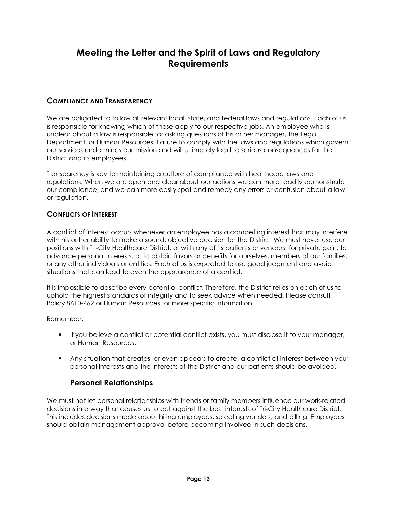# Meeting the Letter and the Spirit of Laws and Regulatory **Requirements**

# COMPLIANCE AND TRANSPARENCY

We are obligated to follow all relevant local, state, and federal laws and regulations. Each of us is responsible for knowing which of these apply to our respective jobs. An employee who is unclear about a law is responsible for asking questions of his or her manager, the Legal Department, or Human Resources. Failure to comply with the laws and regulations which govern our services undermines our mission and will ultimately lead to serious consequences for the District and its employees.

Transparency is key to maintaining a culture of compliance with healthcare laws and regulations. When we are open and clear about our actions we can more readily demonstrate our compliance, and we can more easily spot and remedy any errors or confusion about a law or regulation.

# CONFLICTS OF INTEREST

A conflict of interest occurs whenever an employee has a competing interest that may interfere with his or her ability to make a sound, objective decision for the District. We must never use our positions with Tri-City Healthcare District, or with any of its patients or vendors, for private gain, to advance personal interests, or to obtain favors or benefits for ourselves, members of our families, or any other individuals or entities. Each of us is expected to use good judgment and avoid situations that can lead to even the appearance of a conflict.

It is impossible to describe every potential conflict. Therefore, the District relies on each of us to uphold the highest standards of integrity and to seek advice when needed. Please consult Policy 8610-462 or Human Resources for more specific information.

Remember:

- If you believe a conflict or potential conflict exists, you must disclose it to your manager, or Human Resources.
- Any situation that creates, or even appears to create, a conflict of interest between your personal interests and the interests of the District and our patients should be avoided.

# Personal Relationships

We must not let personal relationships with friends or family members influence our work-related decisions in a way that causes us to act against the best interests of Tri-City Healthcare District. This includes decisions made about hiring employees, selecting vendors, and billing. Employees should obtain management approval before becoming involved in such decisions.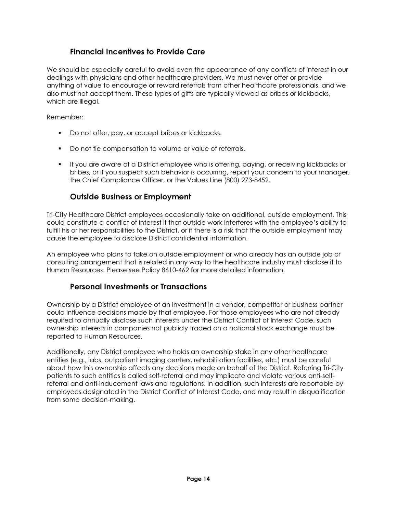# Financial Incentives to Provide Care

We should be especially careful to avoid even the appearance of any conflicts of interest in our dealings with physicians and other healthcare providers. We must never offer or provide anything of value to encourage or reward referrals from other healthcare professionals, and we also must not accept them. These types of gifts are typically viewed as bribes or kickbacks, which are illegal.

Remember:

- Do not offer, pay, or accept bribes or kickbacks.
- Do not tie compensation to volume or value of referrals.
- If you are aware of a District employee who is offering, paying, or receiving kickbacks or bribes, or if you suspect such behavior is occurring, report your concern to your manager, the Chief Compliance Officer, or the Values Line (800) 273-8452.

# Outside Business or Employment

Tri-City Healthcare District employees occasionally take on additional, outside employment. This could constitute a conflict of interest if that outside work interferes with the employee's ability to fulfill his or her responsibilities to the District, or if there is a risk that the outside employment may cause the employee to disclose District confidential information.

An employee who plans to take on outside employment or who already has an outside job or consulting arrangement that is related in any way to the healthcare industry must disclose it to Human Resources. Please see Policy 8610-462 for more detailed information.

# Personal Investments or Transactions

Ownership by a District employee of an investment in a vendor, competitor or business partner could influence decisions made by that employee. For those employees who are not already required to annually disclose such interests under the District Conflict of Interest Code, such ownership interests in companies not publicly traded on a national stock exchange must be reported to Human Resources.

Additionally, any District employee who holds an ownership stake in any other healthcare entities (e.g., labs, outpatient imaging centers, rehabilitation facilities, etc.) must be careful about how this ownership affects any decisions made on behalf of the District. Referring Tri-City patients to such entities is called self-referral and may implicate and violate various anti-selfreferral and anti-inducement laws and regulations. In addition, such interests are reportable by employees designated in the District Conflict of Interest Code, and may result in disqualification from some decision-making.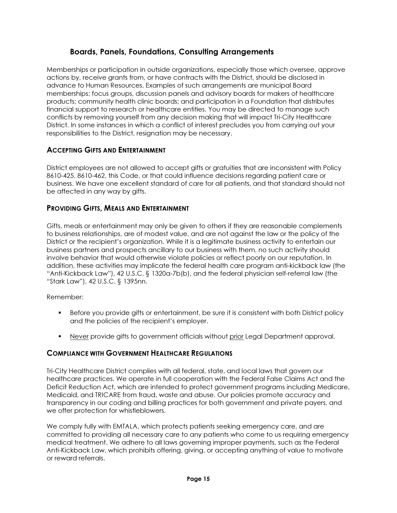# Boards, Panels, Foundations, Consulting Arrangements

Memberships or participation in outside organizations, especially those which oversee, approve actions by, receive grants from, or have contracts with the District, should be disclosed in advance to Human Resources. Examples of such arrangements are municipal Board memberships; focus groups, discussion panels and advisory boards for makers of healthcare products; community health clinic boards; and participation in a Foundation that distributes financial support to research or healthcare entities. You may be directed to manage such conflicts by removing yourself from any decision making that will impact Tri-City Healthcare District. In some instances in which a conflict of interest precludes you from carrying out your responsibilities to the District, resignation may be necessary.

# ACCEPTING GIFTS AND ENTERTAINMENT

District employees are not allowed to accept gifts or gratuities that are inconsistent with Policy 8610-425, 8610-462, this Code, or that could influence decisions regarding patient care or business. We have one excellent standard of care for all patients, and that standard should not be affected in any way by gifts.

## PROVIDING GIFTS, MEALS AND ENTERTAINMENT

Gifts, meals or entertainment may only be given to others if they are reasonable complements to business relationships, are of modest value, and are not against the law or the policy of the District or the recipient's organization. While it is a legitimate business activity to entertain our business partners and prospects ancillary to our business with them, no such activity should involve behavior that would otherwise violate policies or reflect poorly on our reputation. In addition, these activities may implicate the federal health care program anti-kickback law (the "Anti-Kickback Law"), 42 U.S.C. § 1320a-7b(b), and the federal physician self-referral law (the "Stark Law"), 42 U.S.C. § 1395nn.

Remember:

- Before you provide gifts or entertainment, be sure it is consistent with both District policy and the policies of the recipient's employer.
- Never provide gifts to government officials without prior Legal Department approval.

#### COMPLIANCE WITH GOVERNMENT HEALTHCARE REGULATIONS

Tri-City Healthcare District complies with all federal, state, and local laws that govern our healthcare practices. We operate in full cooperation with the Federal False Claims Act and the Deficit Reduction Act, which are intended to protect government programs including Medicare, Medicaid, and TRICARE from fraud, waste and abuse. Our policies promote accuracy and transparency in our coding and billing practices for both government and private payers, and we offer protection for whistleblowers.

We comply fully with EMTALA, which protects patients seeking emergency care, and are committed to providing all necessary care to any patients who come to us requiring emergency medical treatment. We adhere to all laws governing improper payments, such as the Federal Anti-Kickback Law, which prohibits offering, giving, or accepting anything of value to motivate or reward referrals.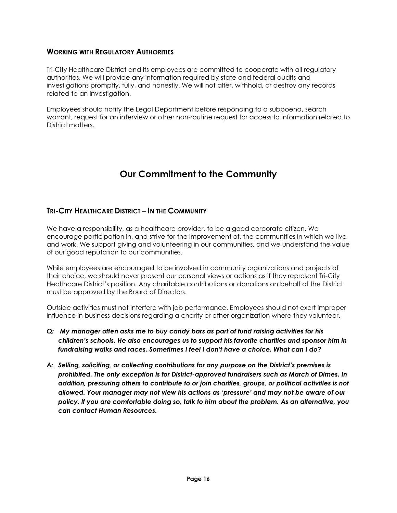#### WORKING WITH REGULATORY AUTHORITIES

Tri-City Healthcare District and its employees are committed to cooperate with all regulatory authorities. We will provide any information required by state and federal audits and investigations promptly, fully, and honestly. We will not alter, withhold, or destroy any records related to an investigation.

Employees should notify the Legal Department before responding to a subpoena, search warrant, request for an interview or other non-routine request for access to information related to District matters.

# Our Commitment to the Community

# TRI-CITY HEALTHCARE DISTRICT – IN THE COMMUNITY

We have a responsibility, as a healthcare provider, to be a good corporate citizen. We encourage participation in, and strive for the improvement of, the communities in which we live and work. We support giving and volunteering in our communities, and we understand the value of our good reputation to our communities.

While employees are encouraged to be involved in community organizations and projects of their choice, we should never present our personal views or actions as if they represent Tri-City Healthcare District's position. Any charitable contributions or donations on behalf of the District must be approved by the Board of Directors.

Outside activities must not interfere with job performance. Employees should not exert improper influence in business decisions regarding a charity or other organization where they volunteer.

- Q: My manager often asks me to buy candy bars as part of fund raising activities for his children's schools. He also encourages us to support his favorite charities and sponsor him in fundraising walks and races. Sometimes I feel I don't have a choice. What can I do?
- A: Selling, soliciting, or collecting contributions for any purpose on the District's premises is prohibited. The only exception is for District-approved fundraisers such as March of Dimes. In addition, pressuring others to contribute to or join charities, groups, or political activities is not allowed. Your manager may not view his actions as 'pressure' and may not be aware of our policy. If you are comfortable doing so, talk to him about the problem. As an alternative, you can contact Human Resources.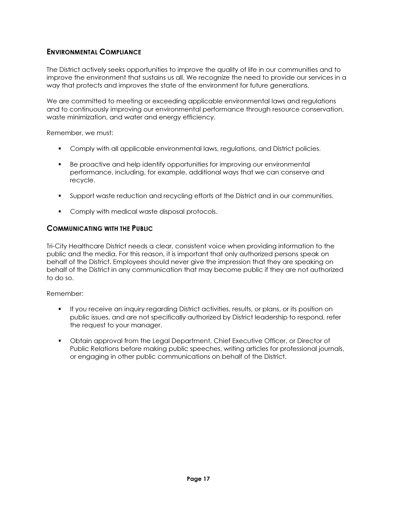# ENVIRONMENTAL COMPLIANCE

The District actively seeks opportunities to improve the quality of life in our communities and to improve the environment that sustains us all. We recognize the need to provide our services in a way that protects and improves the state of the environment for future generations.

We are committed to meeting or exceeding applicable environmental laws and regulations and to continuously improving our environmental performance through resource conservation, waste minimization, and water and energy efficiency.

Remember, we must:

- **Comply with all applicable environmental laws, regulations, and District policies.**
- Be proactive and help identify opportunities for improving our environmental performance, including, for example, additional ways that we can conserve and recycle.
- Support waste reduction and recycling efforts at the District and in our communities.
- **Comply with medical waste disposal protocols.**

#### COMMUNICATING WITH THE PUBLIC

Tri-City Healthcare District needs a clear, consistent voice when providing information to the public and the media. For this reason, it is important that only authorized persons speak on behalf of the District. Employees should never give the impression that they are speaking on behalf of the District in any communication that may become public if they are not authorized to do so.

- If you receive an inquiry regarding District activities, results, or plans, or its position on public issues, and are not specifically authorized by District leadership to respond, refer the request to your manager.
- Obtain approval from the Legal Department, Chief Executive Officer, or Director of Public Relations before making public speeches, writing articles for professional journals, or engaging in other public communications on behalf of the District.